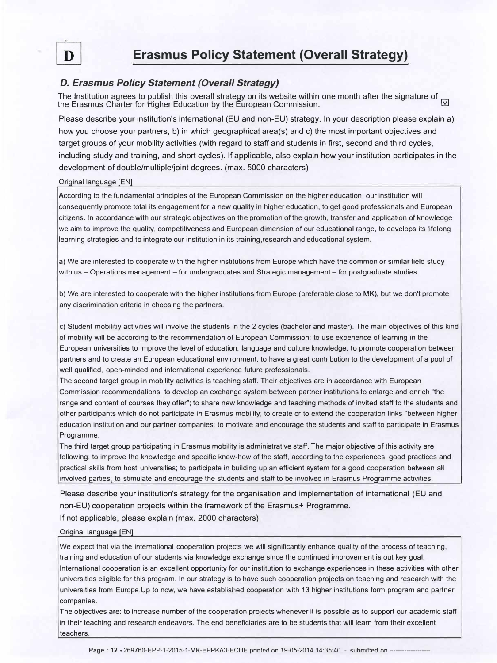

# **Erasmus Policy Statement (Overall Strategy)**

# *D. Erasmus Policy Statement (Overall Strategy)*

The Institution agrees to publish this overall strategy on its website within one month after the signature of the Erasmus Charter for Higher Education by the European Commission.

Please describe your institution's international (EU and non-EU) strategy. In your description please explain a) how you choose your partners, b) in which geographical area(s) and c) the most important objectives and target groups of your mobility activities (with regard to staff and students in first, second and third cycles, including study and training, and short cycles). If applicable, also explain how your institution participates in the development of double/multiple/joint degrees. (max. 5000 characters)

## Oriqinal lanquaqe [EN]

According to the fundamental principles of the European Commission on the higher education, our institution will consequently promote total its engagement for a new quality in higher education, to get good professionals and European citizens. In accordance with our strategic objectives on the promotion of the growth, transfer and application of knowledge we aim to improve the quality, competitiveness and European dimension of our educational range, to develops its lifelong learning strategies and to integrate our institution in its training,research and educational system.

a) We are interested to cooperate with the higher institutions from Europe which have the common or similar field study with us - Operations management - for undergraduates and Strategic management - for postgraduate studies.

b) We are interested to cooperate with the higher institutions from Europe (preferable close to **MK),** but we don't promote any discrimination criteria in choosing the partners.

c) Student mobilitiy activities will involve the students in the 2 cycles (bachelor and master). The main objectives of this kind of mobility will be according to the recommendation of European Commission: to use experience of learning in the European universities to improve the level of education, language and culture knowledge; to promote cooperation between partners and to create an European educational environment; to have a great contribution to the development of a pool of well qualified, open-minded and international experience future professionals.

The second target group in mobility activities is teaching staff. Their objectives are in accordance with European Commission recommendations: to develop an exchange system between partner institutions to enlarge and enrich "the range and content of courses they offer"; to share new knowledge and teaching methods of invited staff to the students and other participants which do not participate in Erasmus mobility; to create or to extend the cooperation links "between higher education institution and our partner companies; to motivate and encourage the students and staff to participate in Erasmus Programme.

The third target group participating in Erasmus mobility is administrative staff. The major objective of this activity are following: to improve the knowledge and specific knew-how of the staff, according to the experiences, good practices and practical skills from host universities; to participate in building up an efficient system for a good cooperation between all involved parties; to stimulate and encourage the students and staff to be involved in Erasmus Programme activities.

Please describe your institution's strategy for the organisation and implementation of international (EU and non-EU) cooperation projects within the framework of the Erasmus+ Programme.

If not applicable, please explain (max. 2000 characters)

#### Original language [EN]

We expect that via the international cooperation projects we will significantly enhance quality of the process of teaching, training and education of our students via knowledge exchange since the continued improvement is out key goal. International cooperation is an excellent opportunity for our institution to exchange experiences in these activities with other universities eligible for this program. In our strategy is to have such cooperation projects on teaching and research with the universities from Europe.Up to now, we have established cooperation with 13 higher institutions form program and partner companies.

The objectives are: to increase number of the cooperation projects whenever it is possible as to support our academic staff in their teaching and research endeavors. The end beneficiaries are to be students that will learn from their excellent teachers.